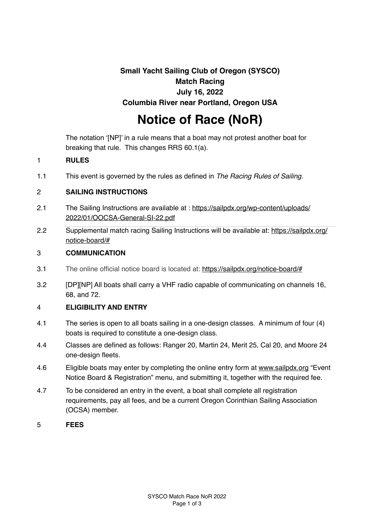# **Small Yacht Sailing Club of Oregon (SYSCO) Match Racing July 16, 2022 Columbia River near Portland, Oregon USA**

# **Notice of Race (NoR)**

The notation '[NP]' in a rule means that a boat may not protest another boat for breaking that rule. This changes RRS 60.1(a).

## 1 **RULES**

1.1 This event is governed by the rules as defined in *The Racing Rules of Sailing.*

## 2 **SAILING INSTRUCTIONS**

- 2.1 [The Sailing Instructions are available at : https://sailpdx.org/wp-content/uploads/](https://sailpdx.org/wp-content/uploads/2022/01/OOCSA-General-SI-22.pdf) 2022/01/OOCSA-General-SI-22.pdf
- 2.2 [Supplemental match racing Sailing Instructions will be available at: https://sailpdx.org/](https://sailpdx.org/notice-board/#) notice-board/#

#### 3 **COMMUNICATION**

- 3.1 The online official notice board is located at: <https://sailpdx.org/notice-board/#>
- 3.2 [DP][NP] All boats shall carry a VHF radio capable of communicating on channels 16, 68, and 72.

# 4 **ELIGIBILITY AND ENTRY**

- 4.1 The series is open to all boats sailing in a one-design classes. A minimum of four (4) boats is required to constitute a one-design class.
- 4.4 Classes are defined as follows: Ranger 20, Martin 24, Merit 25, Cal 20, and Moore 24 one-design fleets.
- 4.6 Eligible boats may enter by completing the online entry form at [www.sailpdx.org](http://www.sailpdx.org) "Event Notice Board & Registration" menu, and submitting it, together with the required fee.
- 4.7 To be considered an entry in the event, a boat shall complete all registration requirements, pay all fees, and be a current Oregon Corinthian Sailing Association (OCSA) member.
- 5 **FEES**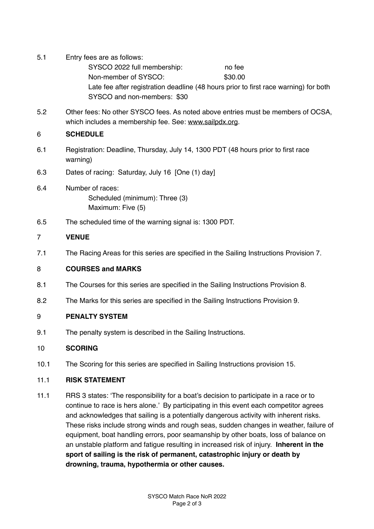- 5.1 Entry fees are as follows: SYSCO 2022 full membership: no fee Non-member of SYSCO: \$30.00 Late fee after registration deadline (48 hours prior to first race warning) for both SYSCO and non-members: \$30
- 5.2 Other fees: No other SYSCO fees. As noted above entries must be members of OCSA, which includes a membership fee. See: [www.sailpdx.org](http://www.sailpdx.org).

## 6 **SCHEDULE**

- 6.1 Registration: Deadline, Thursday, July 14, 1300 PDT (48 hours prior to first race warning)
- 6.3 Dates of racing: Saturday, July 16 [One (1) day]
- 6.4 Number of races: Scheduled (minimum): Three (3) Maximum: Five (5)
- 6.5 The scheduled time of the warning signal is: 1300 PDT.

# 7 **VENUE**

7.1 The Racing Areas for this series are specified in the Sailing Instructions Provision 7.

#### 8 **COURSES and MARKS**

- 8.1 The Courses for this series are specified in the Sailing Instructions Provision 8.
- 8.2 The Marks for this series are specified in the Sailing Instructions Provision 9.

# 9 **PENALTY SYSTEM**

9.1 The penalty system is described in the Sailing Instructions.

#### 10 **SCORING**

10.1 The Scoring for this series are specified in Sailing Instructions provision 15.

#### 11.1 **RISK STATEMENT**

11.1 RRS 3 states: 'The responsibility for a boat's decision to participate in a race or to continue to race is hers alone.' By participating in this event each competitor agrees and acknowledges that sailing is a potentially dangerous activity with inherent risks. These risks include strong winds and rough seas, sudden changes in weather, failure of equipment, boat handling errors, poor seamanship by other boats, loss of balance on an unstable platform and fatigue resulting in increased risk of injury. **Inherent in the sport of sailing is the risk of permanent, catastrophic injury or death by drowning, trauma, hypothermia or other causes.**